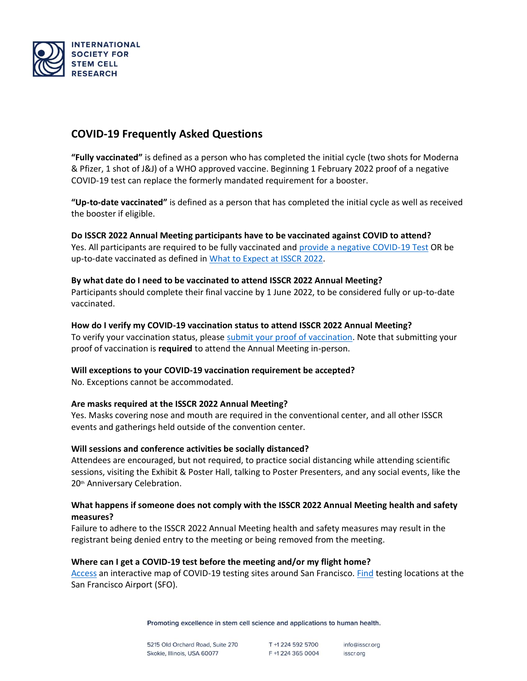

# **COVID-19 Frequently Asked Questions**

**"Fully vaccinated"** is defined as a person who has completed the initial cycle (two shots for Moderna & Pfizer, 1 shot of J&J) of a WHO approved vaccine. Beginning 1 February 2022 proof of a negative COVID-19 test can replace the formerly mandated requirement for a booster.

**"Up-to-date vaccinated"** is defined as a person that has completed the initial cycle as well as received the booster if eligible.

**Do ISSCR 2022 Annual Meeting participants have to be vaccinated against COVID to attend?** Yes. All participants are required to be fully vaccinated and [provide a negative COVID-19 Test](https://www.isscr.org/meetings-events/annual-meetings/isscr-annual-meeting-2022/about/health-safety#:~:text=fully%20vaccinated.-,Tests%20accepted,-%3A) OR be up-to-date vaccinated as defined in [What to Expect at ISSCR 2022.](https://www.isscr.org/meetings-events/annual-meetings/isscr-annual-meeting-2022/about/health-safety#:~:text=What%20to%20Expect%20at%20ISSCR%202022)

# **By what date do I need to be vaccinated to attend ISSCR 2022 Annual Meeting?**

Participants should complete their final vaccine by 1 June 2022, to be considered fully or up-to-date vaccinated.

#### **How do I verify my COVID-19 vaccination status to attend ISSCR 2022 Annual Meeting?**

To verify your vaccination status, please [submit your proof of vaccination.](https://engage.isscr.org/ISSCR/am22covid) Note that submitting your proof of vaccination is **required** to attend the Annual Meeting in-person.

# **Will exceptions to your COVID-19 vaccination requirement be accepted?**

No. Exceptions cannot be accommodated.

# **Are masks required at the ISSCR 2022 Annual Meeting?**

Yes. Masks covering nose and mouth are required in the conventional center, and all other ISSCR events and gatherings held outside of the convention center.

# **Will sessions and conference activities be socially distanced?**

Attendees are encouraged, but not required, to practice social distancing while attending scientific sessions, visiting the Exhibit & Poster Hall, talking to Poster Presenters, and any social events, like the 20<sup>th</sup> Anniversary Celebration.

# **What happens if someone does not comply with the ISSCR 2022 Annual Meeting health and safety measures?**

Failure to adhere to the ISSCR 2022 Annual Meeting health and safety measures may result in the registrant being denied entry to the meeting or being removed from the meeting.

#### **Where can I get a COVID-19 test before the meeting and/or my flight home?**

[Access](https://datasf.org/covid19-testing-locations/) an interactive map of COVID-19 testing sites around San Francisco. [Find](https://www.flysfo.com/travel-well/covid-19-testing) testing locations at the San Francisco Airport (SFO).

Promoting excellence in stem cell science and applications to human health.

5215 Old Orchard Road, Suite 270 Skokie, Illinois, USA 60077

T +1 224 592 5700 F +1 224 365 0004

info@isscr.org isscr.org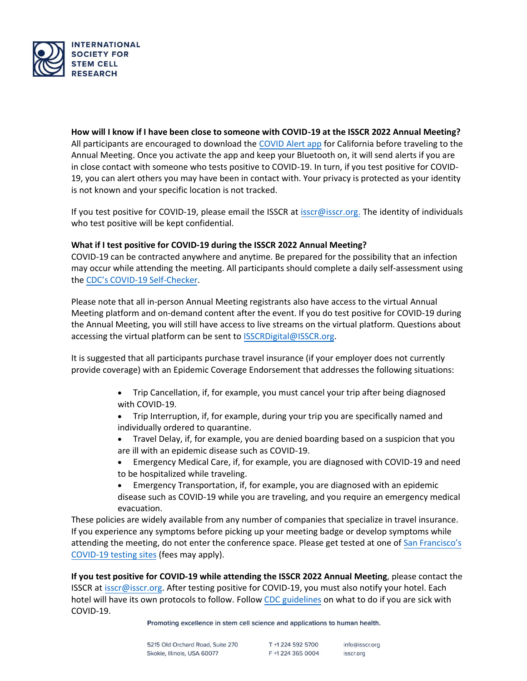

**How will I know if I have been close to someone with COVID-19 at the ISSCR 2022 Annual Meeting?** All participants are encouraged to download th[e COVID Alert app](https://canotify.ca.gov/) for California before traveling to the Annual Meeting. Once you activate the app and keep your Bluetooth on, it will send alerts if you are in close contact with someone who tests positive to COVID-19. In turn, if you test positive for COVID-19, you can alert others you may have been in contact with. Your privacy is protected as your identity is not known and your specific location is not tracked.

If you test positive for COVID-19, please email the ISSCR at isscr@isscr.org. The identity of individuals who test positive will be kept confidential.

# **What if I test positive for COVID-19 during the ISSCR 2022 Annual Meeting?**

COVID-19 can be contracted anywhere and anytime. Be prepared for the possibility that an infection may occur while attending the meeting. All participants should complete a daily self-assessment using the CDC's COVID[-19 Self-Checker.](https://www.cdc.gov/coronavirus/2019-ncov/symptoms-testing/coronavirus-self-checker.html)

Please note that all in-person Annual Meeting registrants also have access to the virtual Annual Meeting platform and on-demand content after the event. If you do test positive for COVID-19 during the Annual Meeting, you will still have access to live streams on the virtual platform. Questions about accessing the virtual platform can be sent to [ISSCRDigital@ISSCR.org.](mailto:ISSCRDigital@ISSCR.org)

It is suggested that all participants purchase travel insurance (if your employer does not currently provide coverage) with an Epidemic Coverage Endorsement that addresses the following situations:

- Trip Cancellation, if, for example, you must cancel your trip after being diagnosed with COVID-19.
- Trip Interruption, if, for example, during your trip you are specifically named and individually ordered to quarantine.
- Travel Delay, if, for example, you are denied boarding based on a suspicion that you are ill with an epidemic disease such as COVID-19.
- Emergency Medical Care, if, for example, you are diagnosed with COVID-19 and need to be hospitalized while traveling.
- Emergency Transportation, if, for example, you are diagnosed with an epidemic disease such as COVID-19 while you are traveling, and you require an emergency medical evacuation.

These policies are widely available from any number of companies that specialize in travel insurance. If you experience any symptoms before picking up your meeting badge or develop symptoms while attending the meeting, do not enter the conference space. Please get tested at one of [San Francisco's](https://datasf.org/covid19-testing-locations/) [COVID-19 testing sites](https://datasf.org/covid19-testing-locations/) (fees may apply).

**If you test positive for COVID-19 while attending the ISSCR 2022 Annual Meeting**, please contact the ISSCR at [isscr@isscr.org.](mailto:isscr@isscr.org) After testing positive for COVID-19, you must also notify your hotel. Each hotel will have its own protocols to follow. Follow CDC guidelines on what to do if you are sick with [COVID-19.](https://www.cdc.gov/coronavirus/2019-ncov/if-you-are-sick/steps-when-sick.html) 

Promoting excellence in stem cell science and applications to human health.